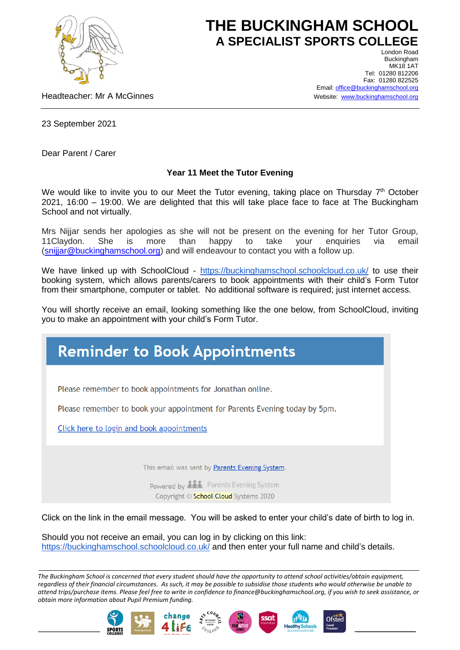

## **THE BUCKINGHAM SCHOOL A SPECIALIST SPORTS COLLEGE**

Headteacher: Mr A McGinnes

London Road Buckingham **MK18 1AT** Tel: 01280 812206 Fax: 01280 822525 Email[: office@buckinghamschool.org](mailto:office@buckinghamschool.org) Website: [www.buckinghamschool.org](http://www.buckinghamschool.org/)

23 September 2021

Dear Parent / Carer

## **Year 11 Meet the Tutor Evening**

We would like to invite you to our Meet the Tutor evening, taking place on Thursday 7<sup>th</sup> October 2021, 16:00 – 19:00. We are delighted that this will take place face to face at The Buckingham School and not virtually.

Mrs Nijjar sends her apologies as she will not be present on the evening for her Tutor Group, 11Claydon. She is more than happy to take your enquiries via email [\(snijjar@buckinghamschool.org\)](mailto:snijjar@buckinghamschool.org) and will endeavour to contact you with a follow up.

We have linked up with SchoolCloud - <https://buckinghamschool.schoolcloud.co.uk/> to use their booking system, which allows parents/carers to book appointments with their child's Form Tutor from their smartphone, computer or tablet. No additional software is required; just internet access.

You will shortly receive an email, looking something like the one below, from SchoolCloud, inviting you to make an appointment with your child's Form Tutor.



Click on the link in the email message. You will be asked to enter your child's date of birth to log in.

Should you not receive an email, you can log in by clicking on this link: <https://buckinghamschool.schoolcloud.co.uk/> and then enter your full name and child's details.

*The Buckingham School is concerned that every student should have the opportunity to attend school activities/obtain equipment, regardless of their financial circumstances. As such, it may be possible to subsidise those students who would otherwise be unable to attend trips/purchase items. Please feel free to write in confidence to finance@buckinghamschool.org, if you wish to seek assistance, or obtain more information about Pupil Premium funding.*